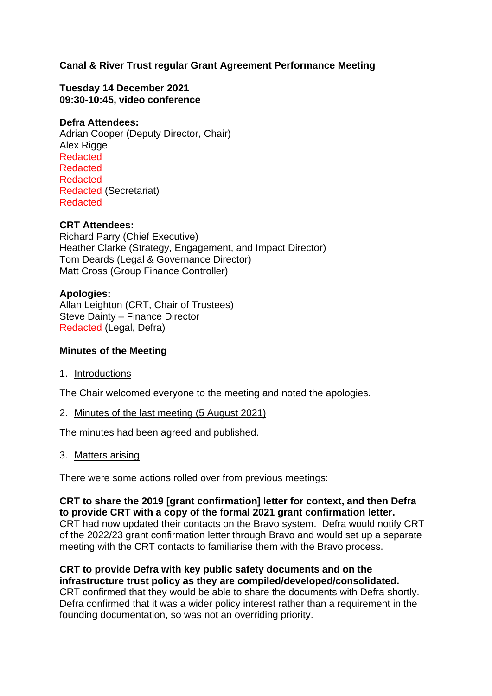# **Canal & River Trust regular Grant Agreement Performance Meeting**

**Tuesday 14 December 2021 09:30-10:45, video conference**

### **Defra Attendees:**

Adrian Cooper (Deputy Director, Chair) Alex Rigge Redacted Redacted Redacted Redacted (Secretariat) Redacted

## **CRT Attendees:**

Richard Parry (Chief Executive) Heather Clarke (Strategy, Engagement, and Impact Director) Tom Deards (Legal & Governance Director) Matt Cross (Group Finance Controller)

#### **Apologies:**

Allan Leighton (CRT, Chair of Trustees) Steve Dainty – Finance Director Redacted (Legal, Defra)

#### **Minutes of the Meeting**

1. Introductions

The Chair welcomed everyone to the meeting and noted the apologies.

2. Minutes of the last meeting (5 August 2021)

The minutes had been agreed and published.

3. Matters arising

There were some actions rolled over from previous meetings:

**CRT to share the 2019 [grant confirmation] letter for context, and then Defra to provide CRT with a copy of the formal 2021 grant confirmation letter.** CRT had now updated their contacts on the Bravo system. Defra would notify CRT of the 2022/23 grant confirmation letter through Bravo and would set up a separate meeting with the CRT contacts to familiarise them with the Bravo process.

**CRT to provide Defra with key public safety documents and on the infrastructure trust policy as they are compiled/developed/consolidated.** CRT confirmed that they would be able to share the documents with Defra shortly. Defra confirmed that it was a wider policy interest rather than a requirement in the

founding documentation, so was not an overriding priority.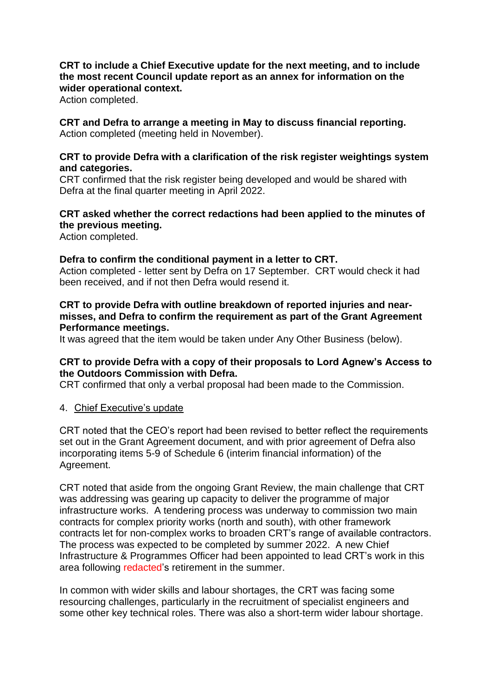# **CRT to include a Chief Executive update for the next meeting, and to include the most recent Council update report as an annex for information on the wider operational context.**

Action completed.

**CRT and Defra to arrange a meeting in May to discuss financial reporting.** Action completed (meeting held in November).

## **CRT to provide Defra with a clarification of the risk register weightings system and categories.**

CRT confirmed that the risk register being developed and would be shared with Defra at the final quarter meeting in April 2022.

# **CRT asked whether the correct redactions had been applied to the minutes of the previous meeting.**

Action completed.

## **Defra to confirm the conditional payment in a letter to CRT.**

Action completed - letter sent by Defra on 17 September. CRT would check it had been received, and if not then Defra would resend it.

## **CRT to provide Defra with outline breakdown of reported injuries and nearmisses, and Defra to confirm the requirement as part of the Grant Agreement Performance meetings.**

It was agreed that the item would be taken under Any Other Business (below).

# **CRT to provide Defra with a copy of their proposals to Lord Agnew's Access to the Outdoors Commission with Defra.**

CRT confirmed that only a verbal proposal had been made to the Commission.

## 4. Chief Executive's update

CRT noted that the CEO's report had been revised to better reflect the requirements set out in the Grant Agreement document, and with prior agreement of Defra also incorporating items 5-9 of Schedule 6 (interim financial information) of the Agreement.

CRT noted that aside from the ongoing Grant Review, the main challenge that CRT was addressing was gearing up capacity to deliver the programme of major infrastructure works. A tendering process was underway to commission two main contracts for complex priority works (north and south), with other framework contracts let for non-complex works to broaden CRT's range of available contractors. The process was expected to be completed by summer 2022. A new Chief Infrastructure & Programmes Officer had been appointed to lead CRT's work in this area following redacted's retirement in the summer.

In common with wider skills and labour shortages, the CRT was facing some resourcing challenges, particularly in the recruitment of specialist engineers and some other key technical roles. There was also a short-term wider labour shortage.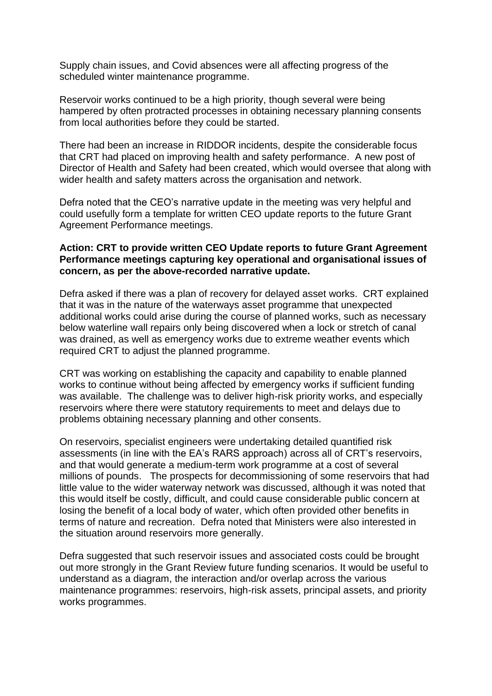Supply chain issues, and Covid absences were all affecting progress of the scheduled winter maintenance programme.

Reservoir works continued to be a high priority, though several were being hampered by often protracted processes in obtaining necessary planning consents from local authorities before they could be started.

There had been an increase in RIDDOR incidents, despite the considerable focus that CRT had placed on improving health and safety performance. A new post of Director of Health and Safety had been created, which would oversee that along with wider health and safety matters across the organisation and network.

Defra noted that the CEO's narrative update in the meeting was very helpful and could usefully form a template for written CEO update reports to the future Grant Agreement Performance meetings.

### **Action: CRT to provide written CEO Update reports to future Grant Agreement Performance meetings capturing key operational and organisational issues of concern, as per the above-recorded narrative update.**

Defra asked if there was a plan of recovery for delayed asset works. CRT explained that it was in the nature of the waterways asset programme that unexpected additional works could arise during the course of planned works, such as necessary below waterline wall repairs only being discovered when a lock or stretch of canal was drained, as well as emergency works due to extreme weather events which required CRT to adjust the planned programme.

CRT was working on establishing the capacity and capability to enable planned works to continue without being affected by emergency works if sufficient funding was available. The challenge was to deliver high-risk priority works, and especially reservoirs where there were statutory requirements to meet and delays due to problems obtaining necessary planning and other consents.

On reservoirs, specialist engineers were undertaking detailed quantified risk assessments (in line with the EA's RARS approach) across all of CRT's reservoirs, and that would generate a medium-term work programme at a cost of several millions of pounds. The prospects for decommissioning of some reservoirs that had little value to the wider waterway network was discussed, although it was noted that this would itself be costly, difficult, and could cause considerable public concern at losing the benefit of a local body of water, which often provided other benefits in terms of nature and recreation. Defra noted that Ministers were also interested in the situation around reservoirs more generally.

Defra suggested that such reservoir issues and associated costs could be brought out more strongly in the Grant Review future funding scenarios. It would be useful to understand as a diagram, the interaction and/or overlap across the various maintenance programmes: reservoirs, high-risk assets, principal assets, and priority works programmes.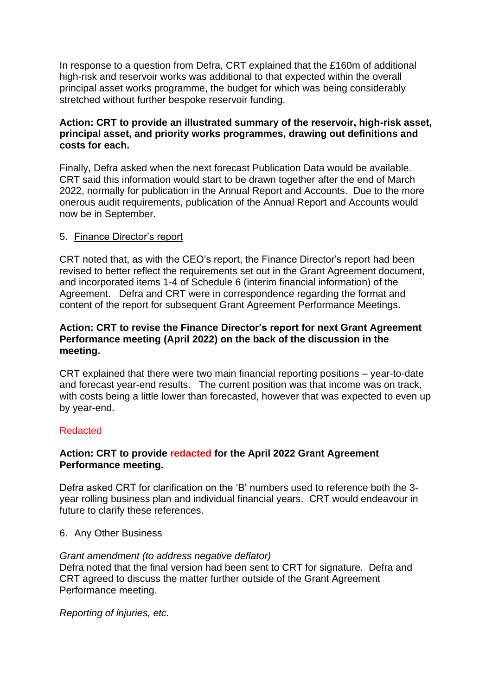In response to a question from Defra, CRT explained that the £160m of additional high-risk and reservoir works was additional to that expected within the overall principal asset works programme, the budget for which was being considerably stretched without further bespoke reservoir funding.

## **Action: CRT to provide an illustrated summary of the reservoir, high-risk asset, principal asset, and priority works programmes, drawing out definitions and costs for each.**

Finally, Defra asked when the next forecast Publication Data would be available. CRT said this information would start to be drawn together after the end of March 2022, normally for publication in the Annual Report and Accounts. Due to the more onerous audit requirements, publication of the Annual Report and Accounts would now be in September.

#### 5. Finance Director's report

CRT noted that, as with the CEO's report, the Finance Director's report had been revised to better reflect the requirements set out in the Grant Agreement document, and incorporated items 1-4 of Schedule 6 (interim financial information) of the Agreement. Defra and CRT were in correspondence regarding the format and content of the report for subsequent Grant Agreement Performance Meetings.

### **Action: CRT to revise the Finance Director's report for next Grant Agreement Performance meeting (April 2022) on the back of the discussion in the meeting.**

CRT explained that there were two main financial reporting positions – year-to-date and forecast year-end results. The current position was that income was on track, with costs being a little lower than forecasted, however that was expected to even up by year-end.

## Redacted

## **Action: CRT to provide redacted for the April 2022 Grant Agreement Performance meeting.**

Defra asked CRT for clarification on the 'B' numbers used to reference both the 3 year rolling business plan and individual financial years. CRT would endeavour in future to clarify these references.

## 6. Any Other Business

## *Grant amendment (to address negative deflator)*

Defra noted that the final version had been sent to CRT for signature. Defra and CRT agreed to discuss the matter further outside of the Grant Agreement Performance meeting.

*Reporting of injuries, etc.*